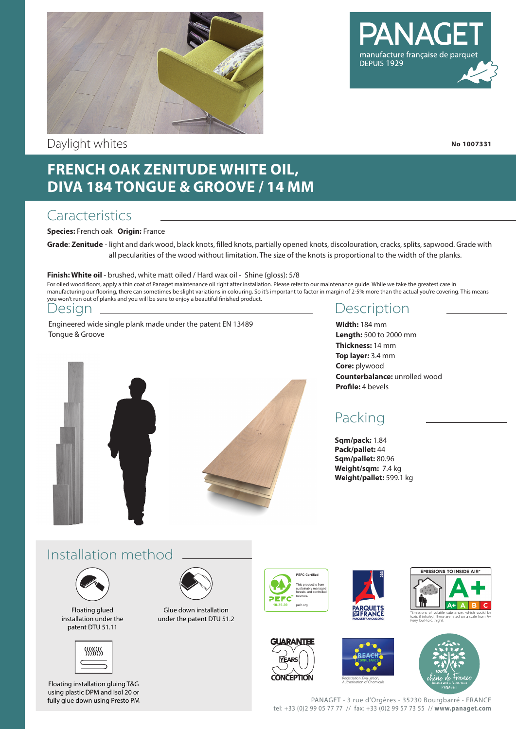

Daylight whites

# manufacture française de parque DEPUIS 1929

**No 1007331**

# **FRENCH OAK ZENITUDE WHITE OIL, DIVA 184 TONGUE & GROOVE / 14 MM**

### **Caracteristics**

#### **Species:** French oak **Origin:** France

**Grade**: **Zenitude** - light and dark wood, black knots, filled knots, partially opened knots, discolouration, cracks, splits, sapwood. Grade with all pecularities of the wood without limitation. The size of the knots is proportional to the width of the planks.

#### **Finish: White oil** - brushed, white matt oiled / Hard wax oil - Shine (gloss): 5/8

For oiled wood floors, apply a thin coat of Panaget maintenance oil right after installation. Please refer to our maintenance guide. While we take the greatest care in manufacturing our flooring, there can sometimes be slight variations in colouring. So it's important to factor in margin of 2-5% more than the actual you're covering. This means you won't run out of planks and you will be sure to enjoy a beautiful finished product.

#### Design

Engineered wide single plank made under the patent EN 13489 Tongue & Groove



#### **Description**

**Width:** 184 mm **Length:** 500 to 2000 mm **Thickness:** 14 mm **Top layer:** 3.4 mm **Core:** plywood **Counterbalance:** unrolled wood **Profile:** 4 bevels

## Packing

**Sqm/pack:** 1.84 **Pack/pallet:** 44 **Sqm/pallet:** 80.96 **Weight/sqm:** 7.4 kg **Weight/pallet:** 599.1 kg

#### Installation method



Floating glued installation under the patent DTU 51.11



Floating installation gluing T&G using plastic DPM and Isol 20 or fully glue down using Presto PM



Glue down installation under the patent DTU 51.2













PANAGET - 3 rue d'Orgères - 35230 Bourgbarré - FRANCE tel: +33 (0)2 99 05 77 77 // fax: +33 (0)2 99 57 73 55 // **www.panaget.com**